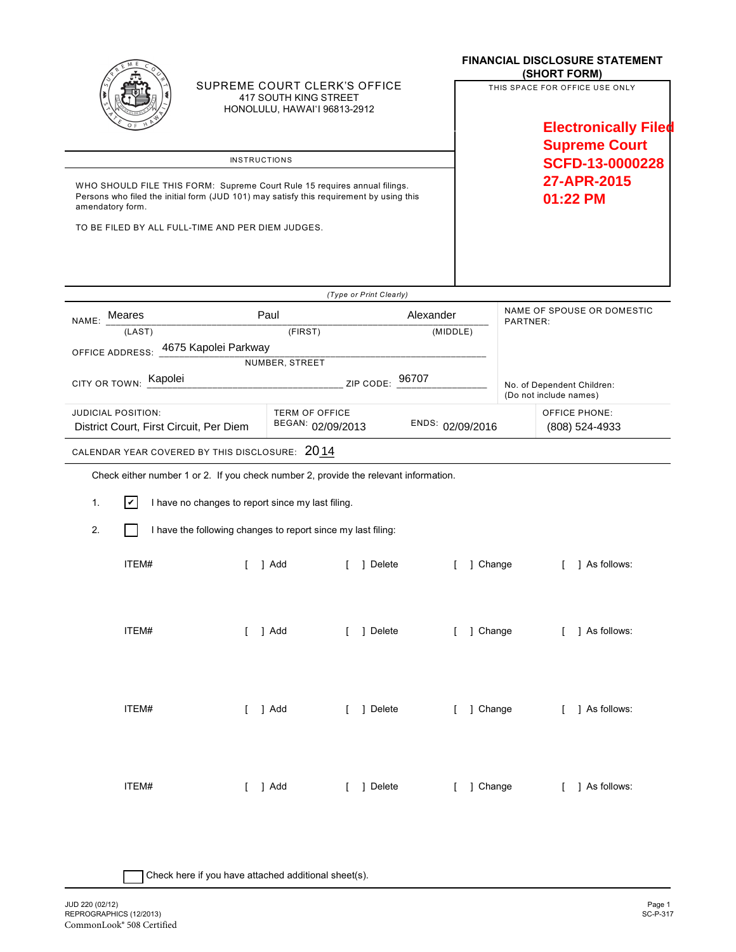|                                                                                                                                                                                          |                    |                                                              |                                                                                       |                                                                |                         |           | <b>FINANCIAL DISCLOSURE STATEMENT</b><br>(SHORT FORM)              |                                                      |   |                 |  |
|------------------------------------------------------------------------------------------------------------------------------------------------------------------------------------------|--------------------|--------------------------------------------------------------|---------------------------------------------------------------------------------------|----------------------------------------------------------------|-------------------------|-----------|--------------------------------------------------------------------|------------------------------------------------------|---|-----------------|--|
|                                                                                                                                                                                          |                    |                                                              | SUPREME COURT CLERK'S OFFICE<br>417 SOUTH KING STREET<br>HONOLULU, HAWAI'I 96813-2912 |                                                                |                         |           | THIS SPACE FOR OFFICE USE ONLY<br><b>Electronically Filed</b>      |                                                      |   |                 |  |
|                                                                                                                                                                                          |                    |                                                              |                                                                                       |                                                                |                         |           | <b>Supreme Court</b><br>SCFD-13-0000228<br>27-APR-2015<br>01:22 PM |                                                      |   |                 |  |
| <b>INSTRUCTIONS</b>                                                                                                                                                                      |                    |                                                              |                                                                                       |                                                                |                         |           |                                                                    |                                                      |   |                 |  |
| WHO SHOULD FILE THIS FORM: Supreme Court Rule 15 requires annual filings.<br>Persons who filed the initial form (JUD 101) may satisfy this requirement by using this<br>amendatory form. |                    |                                                              |                                                                                       |                                                                |                         |           |                                                                    |                                                      |   |                 |  |
| TO BE FILED BY ALL FULL-TIME AND PER DIEM JUDGES.                                                                                                                                        |                    |                                                              |                                                                                       |                                                                |                         |           |                                                                    |                                                      |   |                 |  |
|                                                                                                                                                                                          |                    |                                                              |                                                                                       |                                                                | (Type or Print Clearly) |           |                                                                    |                                                      |   |                 |  |
| NAME: Meares                                                                                                                                                                             |                    |                                                              | Paul                                                                                  |                                                                |                         | Alexander | NAME OF SPOUSE OR DOMESTIC<br>PARTNER:                             |                                                      |   |                 |  |
| (LAST)                                                                                                                                                                                   |                    |                                                              |                                                                                       | (FIRST)<br>(MIDDLE)                                            |                         |           |                                                                    |                                                      |   |                 |  |
| OFFICE ADDRESS: 4675 Kapolei Parkway<br>NUMBER, STREET                                                                                                                                   |                    |                                                              |                                                                                       |                                                                |                         |           |                                                                    |                                                      |   |                 |  |
| Kapolei<br>ZIP CODE: 96707<br>CITY OR TOWN:                                                                                                                                              |                    |                                                              |                                                                                       |                                                                |                         |           |                                                                    | No. of Dependent Children:<br>(Do not include names) |   |                 |  |
| <b>JUDICIAL POSITION:</b><br>District Court, First Circuit, Per Diem                                                                                                                     |                    |                                                              |                                                                                       | <b>TERM OF OFFICE</b><br>BEGAN: 02/09/2013<br>ENDS: 02/09/2016 |                         |           |                                                                    | <b>OFFICE PHONE:</b><br>(808) 524-4933               |   |                 |  |
|                                                                                                                                                                                          |                    | CALENDAR YEAR COVERED BY THIS DISCLOSURE: 2014               |                                                                                       |                                                                |                         |           |                                                                    |                                                      |   |                 |  |
| Check either number 1 or 2. If you check number 2, provide the relevant information.                                                                                                     |                    |                                                              |                                                                                       |                                                                |                         |           |                                                                    |                                                      |   |                 |  |
| 1.                                                                                                                                                                                       | $ \boldsymbol{v} $ | I have no changes to report since my last filing.            |                                                                                       |                                                                |                         |           |                                                                    |                                                      |   |                 |  |
| 2.                                                                                                                                                                                       |                    | I have the following changes to report since my last filing: |                                                                                       |                                                                |                         |           |                                                                    |                                                      |   |                 |  |
|                                                                                                                                                                                          | ITEM#              |                                                              | 1 Add                                                                                 |                                                                | 1 Delete                |           | 1 Change                                                           |                                                      | L | 1 As follows:   |  |
|                                                                                                                                                                                          | ITEM#              |                                                              | $[$ ] $Add$                                                                           |                                                                | [ ] Delete              |           | [ ] Change                                                         |                                                      |   | [ ] As follows: |  |
|                                                                                                                                                                                          | ITEM#              |                                                              | $[$ ] $Add$                                                                           |                                                                | [ ] Delete              |           | [ ] Change                                                         |                                                      |   | [ ] As follows: |  |
|                                                                                                                                                                                          | ITEM#              |                                                              | $[$ ] Add                                                                             |                                                                | [ ] Delete              |           | [ ] Change                                                         |                                                      |   | [ ] As follows: |  |

| Check here if you have attached additional sheet(s).